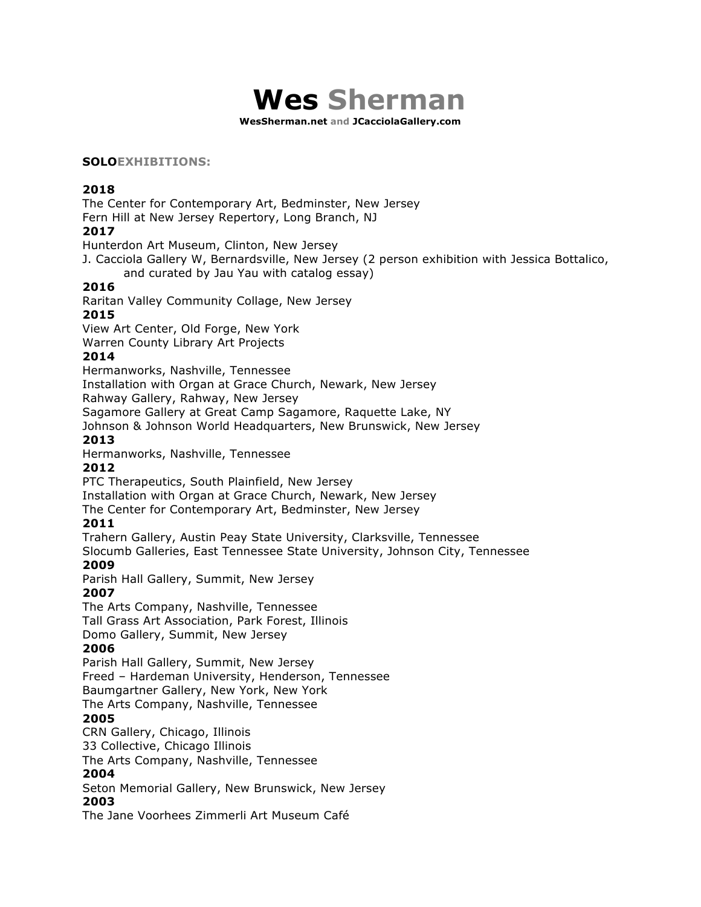

**WesSherman.net and JCacciolaGallery.com**

#### **SOLOEXHIBITIONS:**

#### **2018**

The Center for Contemporary Art, Bedminster, New Jersey

Fern Hill at New Jersey Repertory, Long Branch, NJ

## **2017**

Hunterdon Art Museum, Clinton, New Jersey

J. Cacciola Gallery W, Bernardsville, New Jersey (2 person exhibition with Jessica Bottalico,

and curated by Jau Yau with catalog essay)

## **2016**

Raritan Valley Community Collage, New Jersey

## **2015**

View Art Center, Old Forge, New York

Warren County Library Art Projects

#### **2014**

Hermanworks, Nashville, Tennessee Installation with Organ at Grace Church, Newark, New Jersey

Rahway Gallery, Rahway, New Jersey

Sagamore Gallery at Great Camp Sagamore, Raquette Lake, NY

Johnson & Johnson World Headquarters, New Brunswick, New Jersey

#### **2013**

Hermanworks, Nashville, Tennessee

#### **2012**

PTC Therapeutics, South Plainfield, New Jersey

Installation with Organ at Grace Church, Newark, New Jersey

The Center for Contemporary Art, Bedminster, New Jersey

# **2011**

Trahern Gallery, Austin Peay State University, Clarksville, Tennessee

Slocumb Galleries, East Tennessee State University, Johnson City, Tennessee **2009**

Parish Hall Gallery, Summit, New Jersey

# **2007**

The Arts Company, Nashville, Tennessee Tall Grass Art Association, Park Forest, Illinois Domo Gallery, Summit, New Jersey

#### **2006**

Parish Hall Gallery, Summit, New Jersey Freed – Hardeman University, Henderson, Tennessee Baumgartner Gallery, New York, New York The Arts Company, Nashville, Tennessee

# **2005**

CRN Gallery, Chicago, Illinois

33 Collective, Chicago Illinois

The Arts Company, Nashville, Tennessee

#### **2004**

Seton Memorial Gallery, New Brunswick, New Jersey

# **2003**

The Jane Voorhees Zimmerli Art Museum Café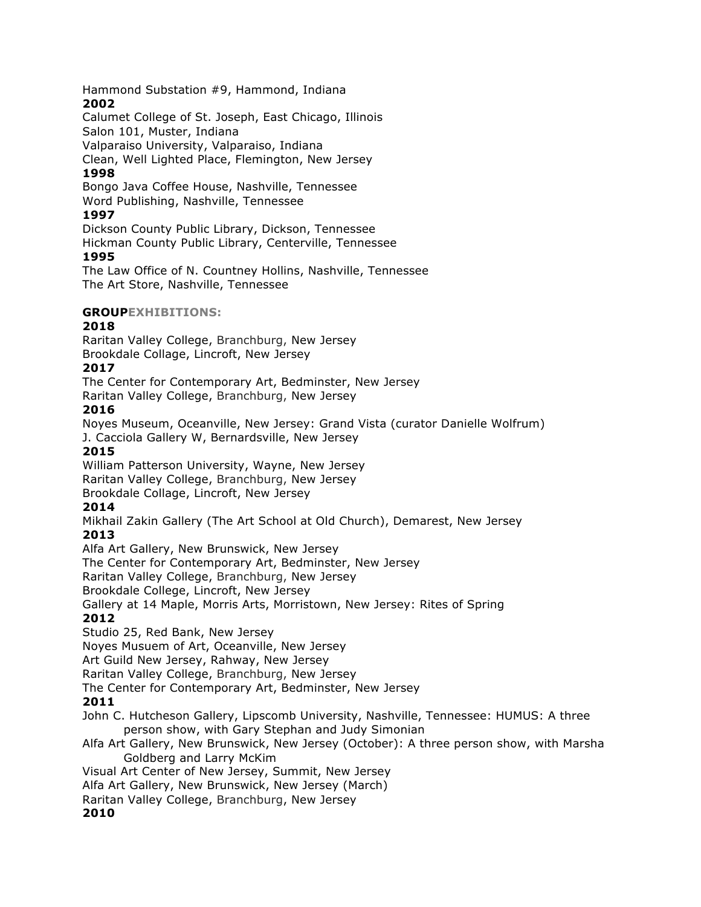Hammond Substation #9, Hammond, Indiana **2002**

Calumet College of St. Joseph, East Chicago, Illinois Salon 101, Muster, Indiana Valparaiso University, Valparaiso, Indiana

Clean, Well Lighted Place, Flemington, New Jersey

# **1998**

Bongo Java Coffee House, Nashville, Tennessee Word Publishing, Nashville, Tennessee

# **1997**

Dickson County Public Library, Dickson, Tennessee

Hickman County Public Library, Centerville, Tennessee **1995**

The Law Office of N. Countney Hollins, Nashville, Tennessee The Art Store, Nashville, Tennessee

# **GROUPEXHIBITIONS:**

# **2018**

Raritan Valley College, Branchburg, New Jersey Brookdale Collage, Lincroft, New Jersey

# **2017**

The Center for Contemporary Art, Bedminster, New Jersey

Raritan Valley College, Branchburg, New Jersey

# **2016**

Noyes Museum, Oceanville, New Jersey: Grand Vista (curator Danielle Wolfrum) J. Cacciola Gallery W, Bernardsville, New Jersey

# **2015**

William Patterson University, Wayne, New Jersey Raritan Valley College, Branchburg, New Jersey

Brookdale Collage, Lincroft, New Jersey

# **2014**

Mikhail Zakin Gallery (The Art School at Old Church), Demarest, New Jersey **2013**

Alfa Art Gallery, New Brunswick, New Jersey

The Center for Contemporary Art, Bedminster, New Jersey

Raritan Valley College, Branchburg, New Jersey

Brookdale College, Lincroft, New Jersey

Gallery at 14 Maple, Morris Arts, Morristown, New Jersey: Rites of Spring

# **2012**

Studio 25, Red Bank, New Jersey

Noyes Musuem of Art, Oceanville, New Jersey

Art Guild New Jersey, Rahway, New Jersey

Raritan Valley College, Branchburg, New Jersey

The Center for Contemporary Art, Bedminster, New Jersey

# **2011**

John C. Hutcheson Gallery, Lipscomb University, Nashville, Tennessee: HUMUS: A three person show, with Gary Stephan and Judy Simonian

Alfa Art Gallery, New Brunswick, New Jersey (October): A three person show, with Marsha Goldberg and Larry McKim

Visual Art Center of New Jersey, Summit, New Jersey

Alfa Art Gallery, New Brunswick, New Jersey (March)

Raritan Valley College, Branchburg, New Jersey

# **2010**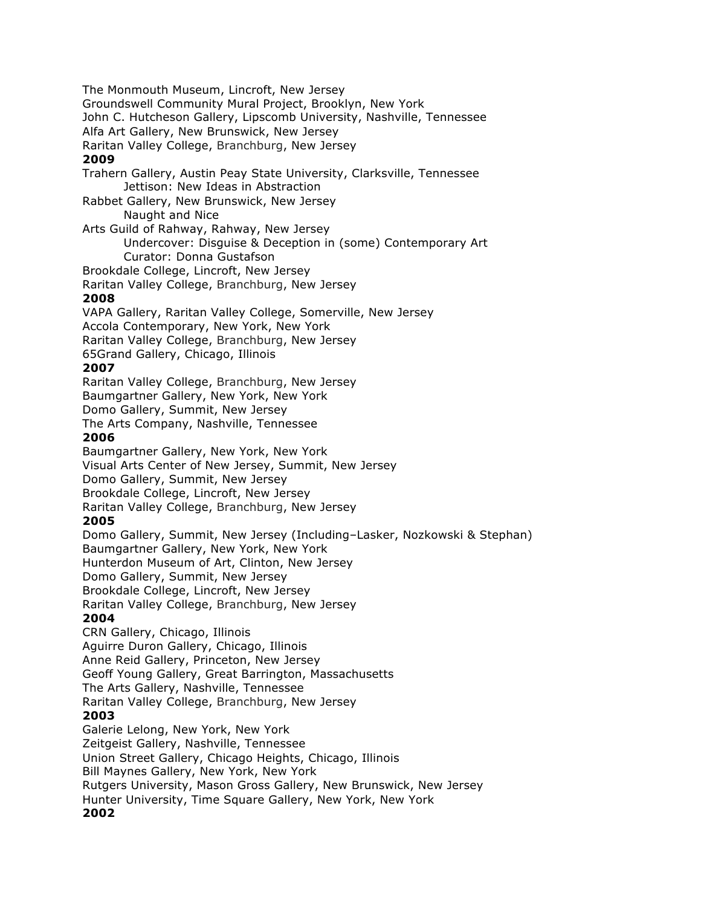The Monmouth Museum, Lincroft, New Jersey Groundswell Community Mural Project, Brooklyn, New York John C. Hutcheson Gallery, Lipscomb University, Nashville, Tennessee Alfa Art Gallery, New Brunswick, New Jersey Raritan Valley College, Branchburg, New Jersey **2009** Trahern Gallery, Austin Peay State University, Clarksville, Tennessee Jettison: New Ideas in Abstraction Rabbet Gallery, New Brunswick, New Jersey Naught and Nice Arts Guild of Rahway, Rahway, New Jersey Undercover: Disguise & Deception in (some) Contemporary Art Curator: Donna Gustafson Brookdale College, Lincroft, New Jersey Raritan Valley College, Branchburg, New Jersey **2008** VAPA Gallery, Raritan Valley College, Somerville, New Jersey Accola Contemporary, New York, New York Raritan Valley College, Branchburg, New Jersey 65Grand Gallery, Chicago, Illinois **2007** Raritan Valley College, Branchburg, New Jersey Baumgartner Gallery, New York, New York Domo Gallery, Summit, New Jersey The Arts Company, Nashville, Tennessee **2006** Baumgartner Gallery, New York, New York Visual Arts Center of New Jersey, Summit, New Jersey Domo Gallery, Summit, New Jersey Brookdale College, Lincroft, New Jersey Raritan Valley College, Branchburg, New Jersey **2005** Domo Gallery, Summit, New Jersey (Including–Lasker, Nozkowski & Stephan) Baumgartner Gallery, New York, New York Hunterdon Museum of Art, Clinton, New Jersey Domo Gallery, Summit, New Jersey Brookdale College, Lincroft, New Jersey Raritan Valley College, Branchburg, New Jersey **2004** CRN Gallery, Chicago, Illinois Aguirre Duron Gallery, Chicago, Illinois Anne Reid Gallery, Princeton, New Jersey Geoff Young Gallery, Great Barrington, Massachusetts The Arts Gallery, Nashville, Tennessee Raritan Valley College, Branchburg, New Jersey **2003** Galerie Lelong, New York, New York Zeitgeist Gallery, Nashville, Tennessee Union Street Gallery, Chicago Heights, Chicago, Illinois Bill Maynes Gallery, New York, New York Rutgers University, Mason Gross Gallery, New Brunswick, New Jersey Hunter University, Time Square Gallery, New York, New York **2002**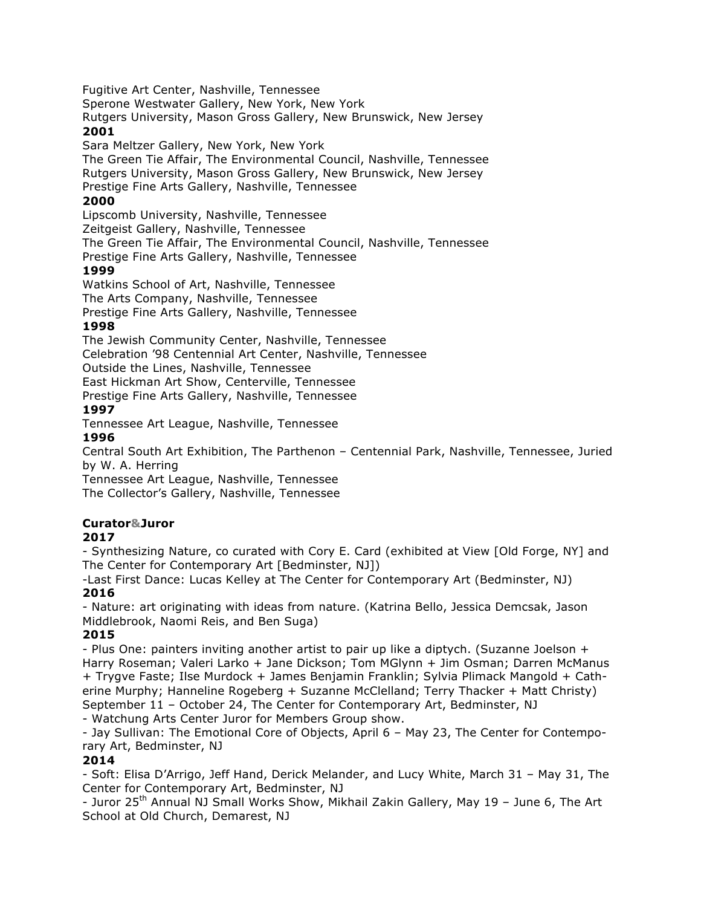Fugitive Art Center, Nashville, Tennessee Sperone Westwater Gallery, New York, New York Rutgers University, Mason Gross Gallery, New Brunswick, New Jersey **2001**

Sara Meltzer Gallery, New York, New York The Green Tie Affair, The Environmental Council, Nashville, Tennessee Rutgers University, Mason Gross Gallery, New Brunswick, New Jersey Prestige Fine Arts Gallery, Nashville, Tennessee

# **2000**

Lipscomb University, Nashville, Tennessee Zeitgeist Gallery, Nashville, Tennessee The Green Tie Affair, The Environmental Council, Nashville, Tennessee Prestige Fine Arts Gallery, Nashville, Tennessee

## **1999**

Watkins School of Art, Nashville, Tennessee The Arts Company, Nashville, Tennessee Prestige Fine Arts Gallery, Nashville, Tennessee

## **1998**

The Jewish Community Center, Nashville, Tennessee Celebration '98 Centennial Art Center, Nashville, Tennessee Outside the Lines, Nashville, Tennessee East Hickman Art Show, Centerville, Tennessee

Prestige Fine Arts Gallery, Nashville, Tennessee

#### **1997**

Tennessee Art League, Nashville, Tennessee **1996**

Central South Art Exhibition, The Parthenon – Centennial Park, Nashville, Tennessee, Juried by W. A. Herring

Tennessee Art League, Nashville, Tennessee The Collector's Gallery, Nashville, Tennessee

# **Curator&Juror**

# **2017**

- Synthesizing Nature, co curated with Cory E. Card (exhibited at View [Old Forge, NY] and The Center for Contemporary Art [Bedminster, NJ])

-Last First Dance: Lucas Kelley at The Center for Contemporary Art (Bedminster, NJ) **2016**

- Nature: art originating with ideas from nature. (Katrina Bello, Jessica Demcsak, Jason Middlebrook, Naomi Reis, and Ben Suga)

# **2015**

- Plus One: painters inviting another artist to pair up like a diptych. (Suzanne Joelson + Harry Roseman; Valeri Larko + Jane Dickson; Tom MGlynn + Jim Osman; Darren McManus + Trygve Faste; Ilse Murdock + James Benjamin Franklin; Sylvia Plimack Mangold + Catherine Murphy; Hanneline Rogeberg + Suzanne McClelland; Terry Thacker + Matt Christy) September 11 – October 24, The Center for Contemporary Art, Bedminster, NJ

- Watchung Arts Center Juror for Members Group show.

- Jay Sullivan: The Emotional Core of Objects, April 6 – May 23, The Center for Contemporary Art, Bedminster, NJ

# **2014**

- Soft: Elisa D'Arrigo, Jeff Hand, Derick Melander, and Lucy White, March 31 – May 31, The Center for Contemporary Art, Bedminster, NJ

- Juror 25<sup>th</sup> Annual NJ Small Works Show, Mikhail Zakin Gallery, May 19 - June 6, The Art School at Old Church, Demarest, NJ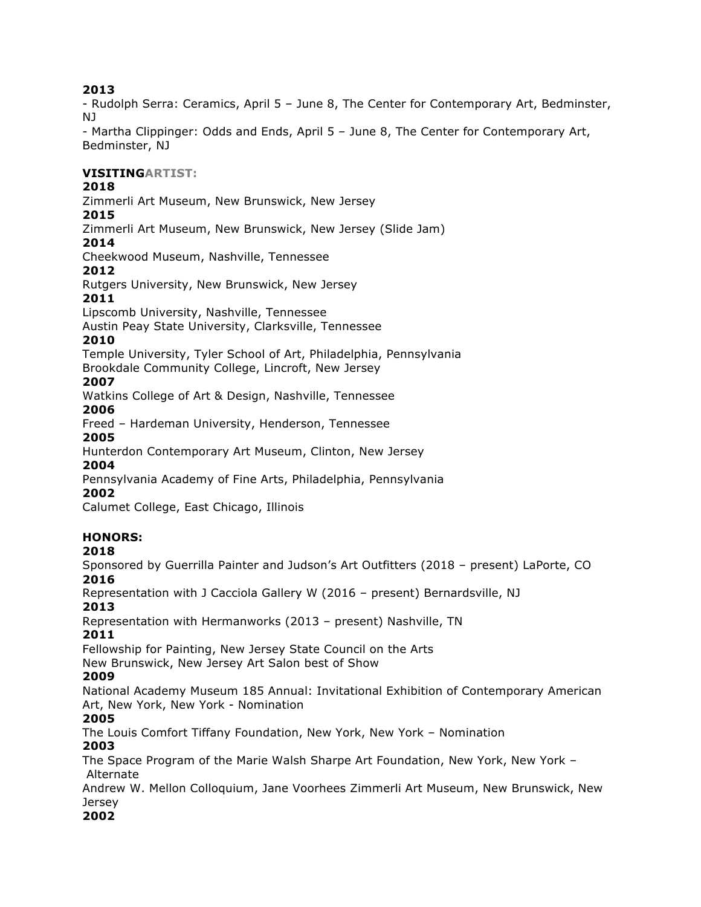# **2013**

- Rudolph Serra: Ceramics, April 5 – June 8, The Center for Contemporary Art, Bedminster, NJ

- Martha Clippinger: Odds and Ends, April 5 – June 8, The Center for Contemporary Art, Bedminster, NJ

## **VISITINGARTIST:**

## **2018**

Zimmerli Art Museum, New Brunswick, New Jersey

## **2015**

Zimmerli Art Museum, New Brunswick, New Jersey (Slide Jam)

## **2014**

Cheekwood Museum, Nashville, Tennessee

## **2012**

Rutgers University, New Brunswick, New Jersey

#### **2011**

Lipscomb University, Nashville, Tennessee

Austin Peay State University, Clarksville, Tennessee

#### **2010**

Temple University, Tyler School of Art, Philadelphia, Pennsylvania

Brookdale Community College, Lincroft, New Jersey

## **2007**

Watkins College of Art & Design, Nashville, Tennessee **2006**

Freed – Hardeman University, Henderson, Tennessee **2005**

Hunterdon Contemporary Art Museum, Clinton, New Jersey

# **2004**

Pennsylvania Academy of Fine Arts, Philadelphia, Pennsylvania

#### **2002**

Calumet College, East Chicago, Illinois

# **HONORS:**

#### **2018**

Sponsored by Guerrilla Painter and Judson's Art Outfitters (2018 – present) LaPorte, CO **2016**

Representation with J Cacciola Gallery W (2016 – present) Bernardsville, NJ

# **2013**

Representation with Hermanworks (2013 – present) Nashville, TN

# **2011**

Fellowship for Painting, New Jersey State Council on the Arts

New Brunswick, New Jersey Art Salon best of Show

#### **2009**

National Academy Museum 185 Annual: Invitational Exhibition of Contemporary American Art, New York, New York - Nomination

# **2005**

The Louis Comfort Tiffany Foundation, New York, New York – Nomination

#### **2003**

The Space Program of the Marie Walsh Sharpe Art Foundation, New York, New York – Alternate

Andrew W. Mellon Colloquium, Jane Voorhees Zimmerli Art Museum, New Brunswick, New Jersey

#### **2002**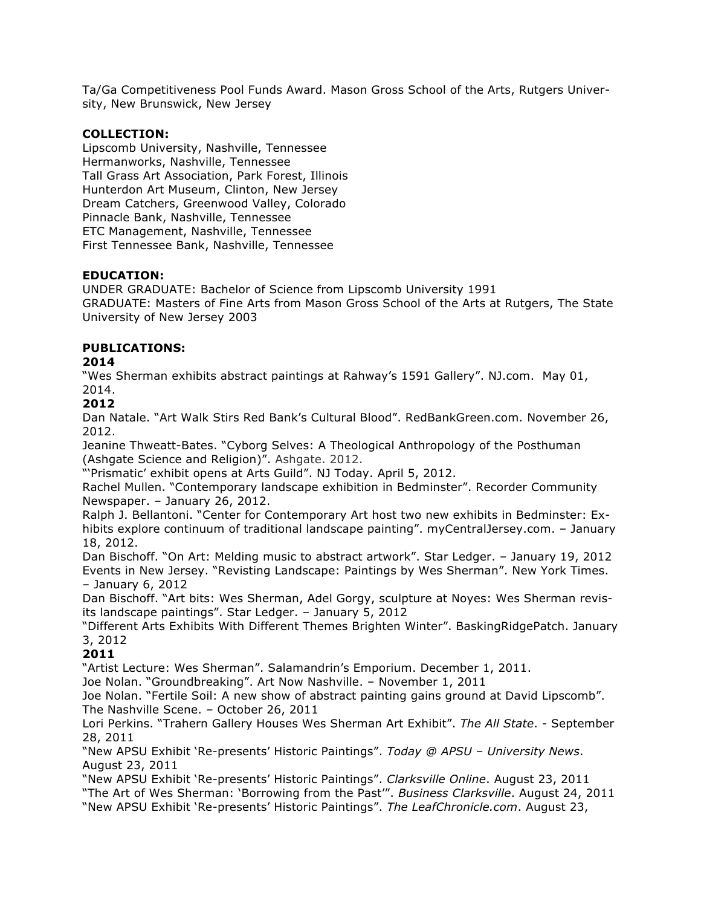Ta/Ga Competitiveness Pool Funds Award. Mason Gross School of the Arts, Rutgers University, New Brunswick, New Jersey

#### **COLLECTION:**

Lipscomb University, Nashville, Tennessee Hermanworks, Nashville, Tennessee Tall Grass Art Association, Park Forest, Illinois Hunterdon Art Museum, Clinton, New Jersey Dream Catchers, Greenwood Valley, Colorado Pinnacle Bank, Nashville, Tennessee ETC Management, Nashville, Tennessee First Tennessee Bank, Nashville, Tennessee

## **EDUCATION:**

UNDER GRADUATE: Bachelor of Science from Lipscomb University 1991 GRADUATE: Masters of Fine Arts from Mason Gross School of the Arts at Rutgers, The State University of New Jersey 2003

# **PUBLICATIONS:**

## **2014**

"Wes Sherman exhibits abstract paintings at Rahway's 1591 Gallery". NJ.com. May 01, 2014.

## **2012**

Dan Natale. "Art Walk Stirs Red Bank's Cultural Blood". RedBankGreen.com. November 26, 2012.

Jeanine Thweatt-Bates. "Cyborg Selves: A Theological Anthropology of the Posthuman (Ashgate Science and Religion)". Ashgate. 2012.

"'Prismatic' exhibit opens at Arts Guild". NJ Today. April 5, 2012.

Rachel Mullen. "Contemporary landscape exhibition in Bedminster". Recorder Community Newspaper. – January 26, 2012.

Ralph J. Bellantoni. "Center for Contemporary Art host two new exhibits in Bedminster: Exhibits explore continuum of traditional landscape painting". myCentralJersey.com. – January 18, 2012.

Dan Bischoff. "On Art: Melding music to abstract artwork". Star Ledger. – January 19, 2012 Events in New Jersey. "Revisting Landscape: Paintings by Wes Sherman". New York Times. – January 6, 2012

Dan Bischoff. "Art bits: Wes Sherman, Adel Gorgy, sculpture at Noyes: Wes Sherman revisits landscape paintings". Star Ledger. – January 5, 2012

"Different Arts Exhibits With Different Themes Brighten Winter". BaskingRidgePatch. January 3, 2012

# **2011**

"Artist Lecture: Wes Sherman". Salamandrin's Emporium. December 1, 2011.

Joe Nolan. "Groundbreaking". Art Now Nashville. – November 1, 2011

Joe Nolan. "Fertile Soil: A new show of abstract painting gains ground at David Lipscomb". The Nashville Scene. – October 26, 2011

Lori Perkins. "Trahern Gallery Houses Wes Sherman Art Exhibit". *The All State*. - September 28, 2011

"New APSU Exhibit 'Re-presents' Historic Paintings". *Today @ APSU – University News*. August 23, 2011

"New APSU Exhibit 'Re-presents' Historic Paintings". *Clarksville Online*. August 23, 2011 "The Art of Wes Sherman: 'Borrowing from the Past'". *Business Clarksville*. August 24, 2011 "New APSU Exhibit 'Re-presents' Historic Paintings". *The LeafChronicle.com*. August 23,